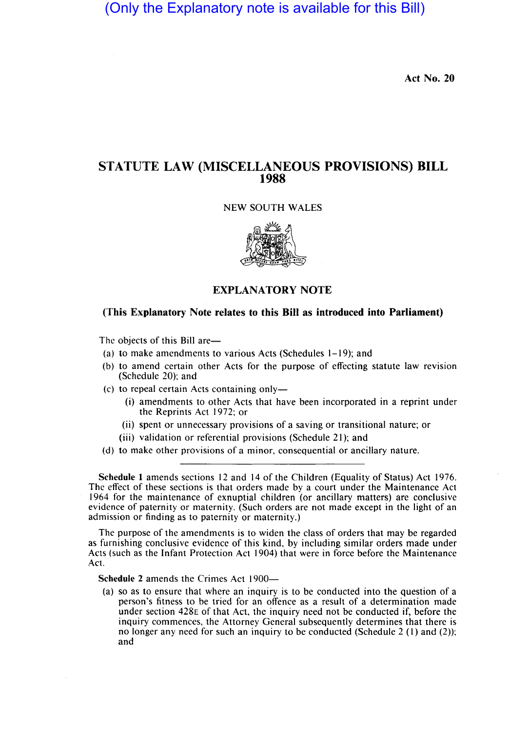(Only the Explanatory note is available for this Bill)

Act No. 20

## STATUTE LAW (MISCELLANEOUS PROVISIONS) BILL 1988

## NEW SOUTH WALES



## EXPLANATORY NOTE

## (This Explanatory Note relates to this Bill as introduced into Parliament)

The objects of this Bill are-

- (a) to make amendments to various Acts (Schedules 1-19); and
- (b) to amend certain other Acts for the purpose of effecting statute law revision (Schedule 20); and
- $(c)$  to repeal certain Acts containing only—
	- (i) amendments to other Acts that have been incorporated in a reprint under the Reprints Act 1972; or
	- (ii) spent or unnecessary provisions of a saving or transitional nature; or
	- (iii) validation or referential provisions (Schedule 21); and
- (d) to make other provisions of a minor, consequential or ancillary nature.

Schedule 1 amends sections 12 and 14 of the Children (Equality of Status) Act 1976. The effect of these sections is that orders made by a court under the Maintenance Act 1964 for the maintenance of exnuptial children (or ancillary matters) are conclusive evidence of paternity or maternity. (Such orders are not made except in the light of an admission or finding as to paternity or maternity.)

The purpose of the amendments is to widen the class of orders that may be regarded as furnishing conclusive evidence of this kind, by including similar orders made under Acts (such as the Infant Protection Act 1904) that were in force before the Maintenance Act.

Schedule 2 amends the Crimes Act 1900-

(a) so as to ensure that where an inquiry is to be conducted into the question of a person's fitness to be tried for an offence as a result of a determination made under section 428E of that Act, the inquiry need not be conducted if, before the inquiry commences, the Attorney General subsequently determines that there is no longer any need for such an inquiry to be conducted (Schedule 2  $(1)$  and  $(2)$ ); and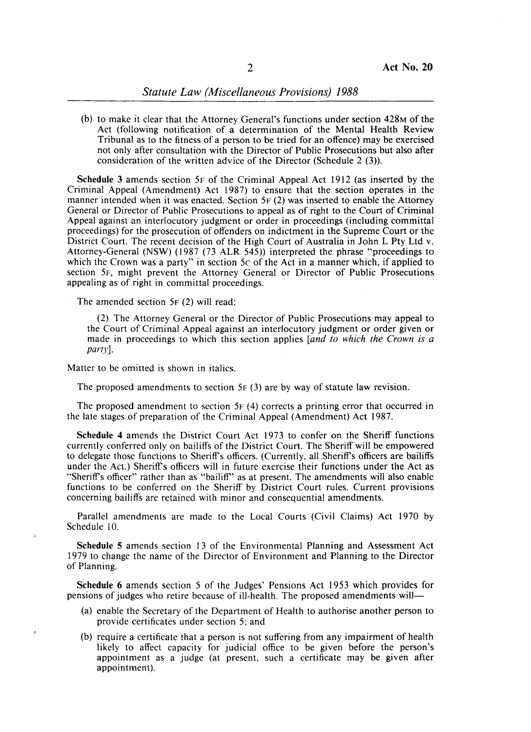(b) to make it clear that the Attorney General's functions under section 428M of the Act (following notification of a determination of the Mental Health Review Tribunal as to the fitness of a person to be tried for an offence) may be exercised not only after consultation with the Director of Public Prosecutions but also after consideration of the written advice of the Director (Schedule 2 (3)).

**Schedule** 3 amends section 5F of the Criminal Appeal Act 1912 (as inserted by the Criminal Appeal (Amendment) Act 1987) to ensure that the section operates in the manner intended when it was enacted. Section 5F (2) was inserted to enable the Attorney General or Director of Public Prosecutions to appeal as of right to the Court of Criminal Appeal against an interlocutory judgment or order in proceedings (including committal proceedings) for the prosecution of offenders on indictment in the Supreme Court or the District Court. The recent decision of the High Court of Australia in John L Pty Ltd v. Attorney-General (NSW) (1987 (73 ALR 545» interpreted the phrase "proceedings to which the Crown was a party" in section 5c of the Act in a manner which, if applied to section 5F, might prevent the Attorney General or Director of Public Prosecutions appealing as of right in committal proceedings.

The amended section 5F (2) will read:

(2) The Attorney General or the Director of Public Prosecutions may appeal to the Court of Criminal Appeal against an interlocutory judgment or order given or made in proceedings to which this section applies *[and to which the Crown* is *a*  party].

Matter to be omitted is shown in italics.

The proposed amendments to section  $5F(3)$  are by way of statute law revision.

The proposed amendment to section 5F (4) corrects a printing error that occurred in the late stages of preparation of the Criminal Appeal (Amendment) Act 1987.

**Schedule 4** amends the District Court Act 1973 to confer on the Sheriff functions currently conferred only on bailiffs of the District Court. The Sheriff will be empowered to delegate those functions to Sheriff's officers. (Currently, all Sheriff's officers are bailiffs under the Act.) Sheriff's officers will in future exercise their functions under the Act as "Sheriff's officer" rather than as "bailiff" as at present. The amendments will also enable functions to be conferred on the Sheriff by District Court rules. Current provisions concerning bailiffs are retained with minor and consequential amendments.

Parallel amendments are made to the Local Courts (Civil Claims) Act 1970 by Schedule 10.

**Schedule** 5 amends section 13 of the Environmental Planning and Assessment Act 1979 to change the name of the Director of Environment and Planning to the Director of Planning.

**Schedule 6** amends section 5 of the Judges' Pensions Act 1953 which provides for pensions of judges who retire because of ill-health. The proposed amendments will-

- (a) enable the Secretary of the Department of Health to authorise another person to provide certificates under section 5; and
- (b) require a certificate that a person is not suffering from any impairment of health likely to affect capacity for judicial office to be given before the person's appointment as a judge (at present, such a certificate may be given after appointment).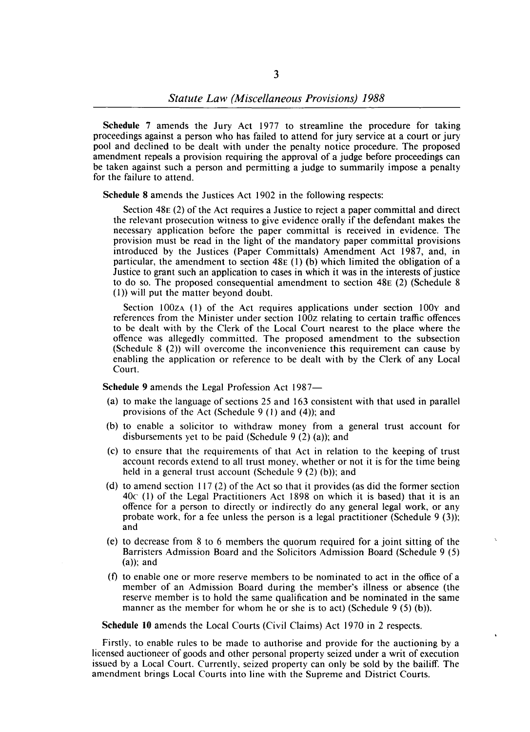**Schedule** 7 amends the Jury Act 1977 to streamline the procedure for taking proceedings against a person who has failed to attend for jury service at a court or jury pool and declined to be dealt with under the penalty notice procedure. The proposed amendment repeals a provision requiring the approval of a judge before proceedings can be taken against such a person and permitting a judge to summarily impose a penalty for the failure to attend.

**Schedule 8** amends the Justices Act 1902 in the following respects:

Section 48E (2) of the Act requires a Justice to reject a paper committal and direct the relevant prosecution witness to give evidence orally if the defendant makes the necessary application before the paper committal is received in evidence. The provision must be read in the light of the mandatory paper committal provisions introduced by the Justices (Paper Committals) Amendment Act 1987, and, in particular, the amendment to section  $48E(1)$  (b) which limited the obligation of a Justice to grant such an application to cases in which it was in the interests of justice to do so. The proposed consequential amendment to section  $48E$  (2) (Schedule 8 (1)) will put the matter beyond doubt.

Section  $100z<sub>A</sub>$  (1) of the Act requires applications under section  $100<sub>Y</sub>$  and references from the Minister under section 100z relating to certain traffic offences to be dealt with by the Clerk of the Local Court nearest to the place where the offence was allegedly committed. The proposed amendment to the subsection (Schedule  $8$  (2)) will overcome the inconvenience this requirement can cause by enabling the application or reference to be dealt with by the Clerk of any Local Court.

**Schedule 9 amends the Legal Profession Act 1987-**

- (a) to make the language of sections 25 and 163 consistent with that used in parallel provisions of the Act (Schedule  $9(1)$  and (4)); and
- (b) to enable a solicitor to withdraw money from a general trust account for disbursements yet to be paid (Schedule  $9(2)(a)$ ); and
- (c) to ensure that the requirements of that Act in relation to the keeping of trust account records extend to all trust money, whether or not it is for the time being held in a general trust account (Schedule  $9(2)$  (b)); and
- (d) to amend section 117 (2) of the Act so that it provides (as did the former section  $40c$  (1) of the Legal Practitioners Act 1898 on which it is based) that it is an offence for a person to directly or indirectly do any general legal work, or any probate work, for a fee unless the person is a legal practitioner (Schedule  $9(3)$ ); and
- (e) to decrease from 8 to 6 members the quorum required for a joint sitting of the Barristers Admission Board and the Solicitors Admission Board (Schedule 9 (5)  $(a)$ ; and
- (f) to enable one or more reserve members to be nominated to act in the office of a member of an Admission Board during the member's illness or absence (the reserve member is to hold the same qualification and be nominated in the same manner as the member for whom he or she is to act) (Schedule  $9(5)$  (b)).

**Schedule 10** amends the Local Courts (Civil Claims) Act 1970 in 2 respects.

Firstly, to enable rules to be made to authorise and provide for the auctioning by a licensed auctioneer of goods and other personal property seized under a writ of execution issued by a Local Court. Currently, seized property can only be sold by the bailiff. The amendment brings Local Courts into line with the Supreme and District Courts.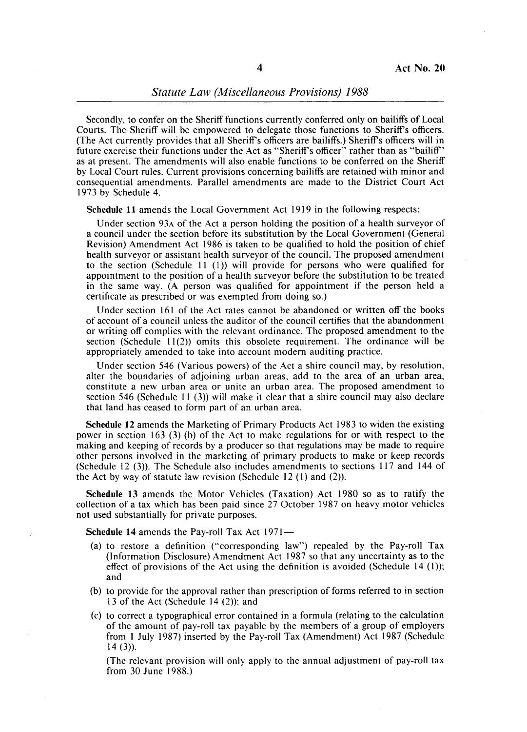Secondly, to confer on the Sheriff functions currently conferred only on bailiffs of Local Courts. The Sheriff will be empowered to delegate those functions to Sheriff's officers. (The Act currently provides that all Sheriff's officers are bailiffs.) Sheriff's officers will in future exercise their functions under the Act as "Sheriff's officer" rather than as "bailiff" as at present. The amendments will also enable functions to be conferred on the Sheriff by Local Court rules. Current provisions concerning bailiffs are retained with minor and consequential amendments. Parallel amendments are made to the District Court Act 1973 by Schedule 4.

Schedule 11 amends the Local Government Act 1919 in the following respects:

Under section 93A of the Act a person holding the position of a health surveyor of a council under the section before its substitution by the Local Government (General Revision) Amendment Act 1986 is taken to be qualified to hold the position of chief health surveyor or assistant health surveyor of the council. The proposed amendment to the section (Schedule  $11$  (1)) will provide for persons who were qualified for appointment to the position of a health surveyor before the substitution to be treated in the same way. (A person was qualified for appointment if the person held a certificate as prescribed or was exempted from doing so.)

Under section 161 of the Act rates cannot be abandoned or written off the books of account of a council unless the auditor of the council certifies that the abandonment or writing off complies with the relevant ordinance. The proposed amendment to the section (Schedule  $11(2)$ ) omits this obsolete requirement. The ordinance will be appropriately amended to take into account modern auditing practice.

Under section 546 (Various powers) of the Act a shire council may, by resolution, alter the boundaries of adjoining urban areas, add to the area of an urban area, constitute a new urban area or unite an urban area. The proposed amendment to section 546 (Schedule 11 $(3)$ ) will make it clear that a shire council may also declare that land has ceased to form part of an urban area.

Schedule 12 amends the Marketing of Primary Products Act 1983 to widen the existing power in section 163 (3) (b) of the Act to make regulations for or with respect to the making and keeping of records by a producer so that regulations may be made to require other persons involved in the marketing of primary products to make or keep records (Schedule 12 (3». The Schedule also includes amendments to sections 117 and 144 of the Act by way of statute law revision (Schedule  $12$  (1) and (2)).

Schedule 13 amends the Motor Vehicles (Taxation) Act 1980 so as to ratify the collection of a tax which has been paid since 27 October 1987 on heavy motor vehicles not used substantially for private purposes.

Schedule 14 amends the Pay-roll Tax Act 1971-

- (a) to restore a definition ("corresponding law") repealed by the Pay-roll Tax (Information Disclosure) Amendment Act 1987 so that any uncertainty as to the effect of provisions of the Act using the definition is avoided (Schedule 14 (1)); and
- (b) to provide for the approval rather than prescription of forms referred to in section 13 of the Act (Schedule 14  $(2)$ ); and
- (c) to correct a typographical error contained in a formula (relating to the calculation of the amount of pay-roll tax payable by the members of a group of employers from I July 1987) inserted by the Pay-roll Tax (Amendment) Act 1987 (Schedule  $14(3)$ ).

(The relevant provision will only apply to the annual adjustment of pay-roll tax from 30 June 1988.)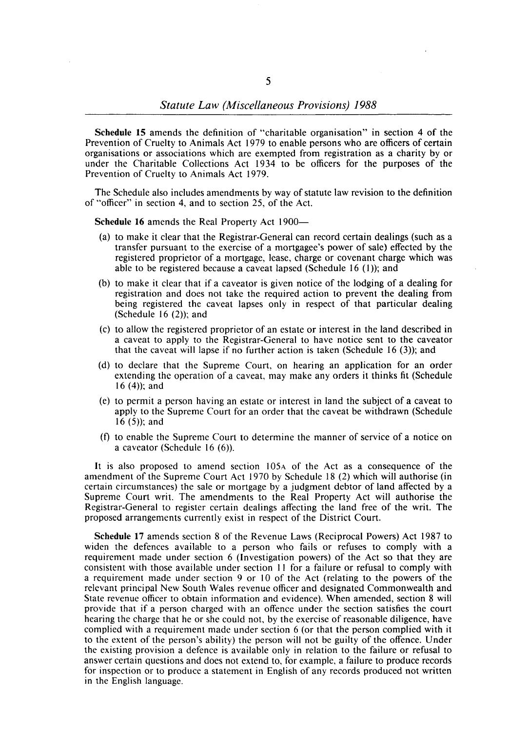**Schedule 15** amends the definition of "charitable organisation" in section 4 of the Prevention of Cruelty to Animals Act 1979 to enable persons who are officers of certain organisations or associations which are exempted from registration as a charity by or under the Charitable Collections Act 1934 to be officers for the purposes of the Prevention of Cruelty to Animals Act 1979.

The Schedule also includes amendments by way of statute law revision to the definition of "officer" in section 4, and to section 25, of the Act.

**Schedule 16 amends the Real Property Act 1900-**

- (a) to make it clear that the Registrar-General can record certain dealings (such as a transfer pursuant to the exercise of a mortgagee's power of sale) effected by the registered proprietor of a mortgage, lease, charge or covenant charge which was able to be registered because a caveat lapsed (Schedule 16  $(1)$ ); and
- (b) to make it clear that if a caveator is given notice of the lodging of a dealing for registration and does not take the required action to prevent the dealing from being registered the caveat lapses only in respect of that particular dealing (Schedule 16 $(2)$ ); and
- (c) to allow the registered proprietor of an estate or interest in the land described in a caveat to apply to the Registrar-General to have notice sent to the caveator that the caveat will lapse if no further action is taken (Schedule  $16(3)$ ); and
- (d) to declare that the Supreme Court, on hearing an application for an order extending the operation of a caveat, may make any orders it thinks fit (Schedule 16  $(4)$ ; and
- (e) to permit a person having an estate or interest in land the subject of a caveat to apply to the Supreme Court for an order that the caveat be withdrawn (Schedule  $16 (5)$ ; and
- (f) to enable the Supreme Court to determine the manner of service of a notice on a caveator (Schedule 16 (6)).

It is also proposed to amend section 105A of the Act as a consequence of the amendment of the Supreme Court Act 1970 by Schedule 18 (2) which will authorise (in certain circumstances) the sale or mortgage by a judgment debtor of land affected by a Supreme Court writ. The amendments to the Real Property Act will authorise the Registrar-General to register certain dealings affecting the land free of the writ. The proposed arrangements currently exist in respect of the District Court.

**Schedule 17** amends section 8 of the Revenue Laws (Reciprocal Powers) Act 1987 to widen the defences available to a person who fails or refuses to comply with a requirement made under section 6 (Investigation powers) of the Act so that they are consistent with those available under section **II** for a failure or refusal to comply with a requirement made under section 9 or 10 of the Act (relating to the powers of the relevant principal New South Wales revenue officer and designated Commonwealth and State revenue officer to obtain information and evidence). When amended, section 8 will provide that if a person charged with an offence under the section satisfies the court hearing the charge that he or she could not, by the exercise of reasonable diligence, have complied with a requirement made under section 6 (or that the person complied with it to the extent of the person's ability) the person will not be guilty of the offence. Under the existing provision a defence is available only in relation to the failure or refusal to answer certain questions and does not extend to, for example, a failure to produce records for inspection or to produce a statement in English of any records produced not written in the English language.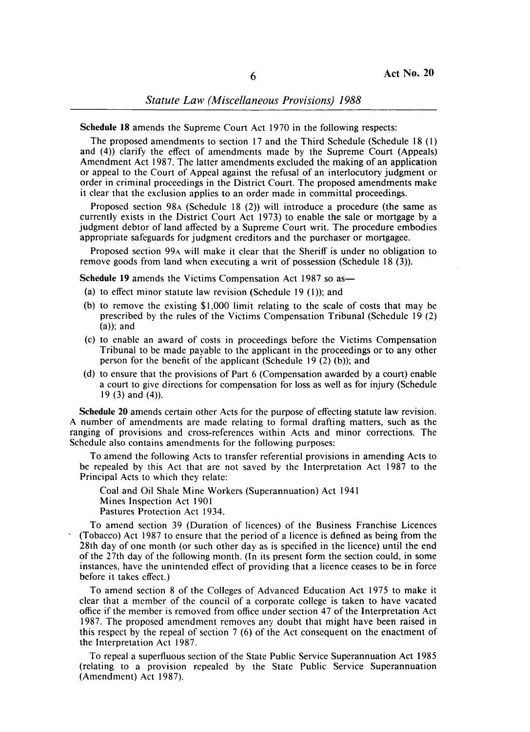**Schedule 18** amends the Supreme Court Act 1970 in the following respects:

The proposed amendments to section 17 and the Third Schedule (Schedule 18 (I) and (4)) clarify the effect of amendments made by the Supreme Court (Appeals) Amendment Act 1987. The latter amendments excluded the making of an application or appeal to the Court of Appeal against the refusal of an interlocutory judgment or order in criminal proceedings in the District Court. The proposed amendments make it clear that the exclusion applies to an order made in committal proceedings.

Proposed section 98A (Schedule 18 (2)) will introduce a procedure (the same as currently exists in the District Court Act 1973) to enable the sale or mortgage by a judgment debtor of land affected by a Supreme Court writ. The procedure embodies appropriate safeguards for judgment creditors and the purchaser or mortgagee.

Proposed section 99A will make it clear that the Sheriff is under no obligation to remove goods from land when executing a writ of possession (Schedule 18 (3».

**Schedule 19 amends the Victims Compensation Act 1987 so as —** 

- (a) to effect minor statute law revision (Schedule 19 (I)); and
- (b) to remove the existing \$1,000 limit relating to the scale of costs that may be prescribed by the rules of the Victims Compensation Tribunal (Schedule 19 (2)  $(a)$ ; and
- (c) to enable an award of costs in proceedings before the Victims Compensation Tribunal to be made payable to the applicant in the proceedings or to any other person for the benefit of the applicant (Schedule 19 $(2)$  (b)); and
- (d) to ensure that the provisions of Part 6 (Compensation awarded by a court) enable a court to give directions for compensation for loss as well as for injury (Schedule 19 (3) and (4)).

**Schedule 20** amends certain other Acts for the purpose of effecting statute law revision. A number of amendments are made relating to formal drafting matters, such as the ranging of provisions and cross-references within Acts and minor corrections. The Schedule also contains amendments for the following purposes:

To amend the following Acts to transfer referential provisions in amending Acts to be repealed by this Act that are not saved by the Interpretation Act 1987 to the Principal Acts to which they relate:

Coal and Oil Shale Mine Workers (Superannuation) Act 1941 Mines Inspection Act 1901 Pastures Protection Act 1934.

To amend section 39 (Duration of licences) of the Business Franchise Licences (Tobacco) Act 1987 to ensure that the period of a licence is defined as being from the 28th day of one month (or such other day as is specified in the licence) until the end of the 27th day of the following month. (In its present form the section could, in some instances, have the unintended effect of providing that a licence ceases to be in force before it takes effect.)

To amend section 8 of the Colleges of Advanced Education Act 1975 to make it clear that a member of the council of a corporate college is taken to have vacated office if the member is removed from office under section 47 of the Interpretation Act 1987. The proposed amendment removes any doubt that might have been raised in this respect by the repeal of section 7 (6) of the Act consequent on the enactment of the Interpretation Act 1987.

To repeal a superfluous section of the State Public Service Superannuation Act 1985 (relating to a provision repealed by the State Public Service Superannuation (Amendment) Act 1987).